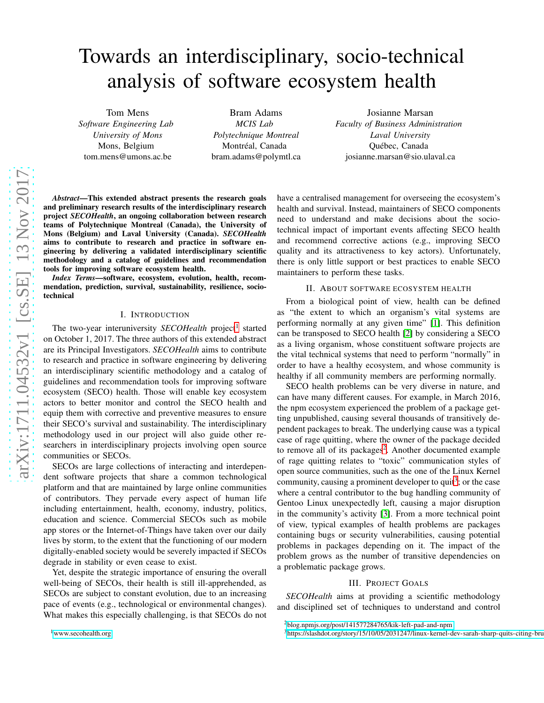# Towards an interdisciplinary, socio-technical analysis of software ecosystem health

Tom Mens *Software Engineering Lab University of Mons* Mons, Belgium tom.mens@umons.ac.be

Bram Adams *MCIS Lab Polytechnique Montreal* Montréal, Canada bram.adams@polymtl.ca

Josianne Marsan *Faculty of Business Administration Laval University* Québec, Canada josianne.marsan@sio.ulaval.ca

*Abstract*—This extended abstract presents the research goals and preliminary research results of the interdisciplinary research project *SECOHealth*, an ongoing collaboration between research teams of Polytechnique Montreal (Canada), the University of Mons (Belgium) and Laval University (Canada). *SECOHealth* aims to contribute to research and practice in software engineering by delivering a validated interdisciplinary scientific methodology and a catalog of guidelines and recommendation tools for improving software ecosystem health.

*Index Terms*—software, ecosystem, evolution, health, recommendation, prediction, survival, sustainability, resilience, sociotechnical

## I. INTRODUCTION

The two-year interuniversity *SECOHealth* project<sup>[1](#page-0-0)</sup> started on October 1, 2017. The three authors of this extended abstract are its Principal Investigators. *SECOHealth* aims to contribute to research and practice in software engineering by delivering an interdisciplinary scientific methodology and a catalog of guidelines and recommendation tools for improving software ecosystem (SECO) health. Those will enable key ecosystem actors to better monitor and control the SECO health and equip them with corrective and preventive measures to ensure their SECO's survival and sustainability. The interdisciplinary methodology used in our project will also guide other researchers in interdisciplinary projects involving open source communities or SECOs.

SECOs are large collections of interacting and interdependent software projects that share a common technological platform and that are maintained by large online communities of contributors. They pervade every aspect of human life including entertainment, health, economy, industry, politics, education and science. Commercial SECOs such as mobile app stores or the Internet-of-Things have taken over our daily lives by storm, to the extent that the functioning of our modern digitally-enabled society would be severely impacted if SECOs degrade in stability or even cease to exist.

<span id="page-0-0"></span>Yet, despite the strategic importance of ensuring the overall well-being of SECOs, their health is still ill-apprehended, as SECOs are subject to constant evolution, due to an increasing pace of events (e.g., technological or environmental changes). What makes this especially challenging, is that SECOs do not have a centralised management for overseeing the ecosystem's health and survival. Instead, maintainers of SECO components need to understand and make decisions about the sociotechnical impact of important events affecting SECO health and recommend corrective actions (e.g., improving SECO quality and its attractiveness to key actors). Unfortunately, there is only little support or best practices to enable SECO maintainers to perform these tasks.

# II. ABOUT SOFTWARE ECOSYSTEM HEALTH

From a biological point of view, health can be defined as "the extent to which an organism's vital systems are performing normally at any given time" [\[1\]](#page-2-0). This definition can be transposed to SECO health [\[2\]](#page-2-1) by considering a SECO as a living organism, whose constituent software projects are the vital technical systems that need to perform "normally" in order to have a healthy ecosystem, and whose community is healthy if all community members are performing normally.

SECO health problems can be very diverse in nature, and can have many different causes. For example, in March 2016, the npm ecosystem experienced the problem of a package getting unpublished, causing several thousands of transitively dependent packages to break. The underlying cause was a typical case of rage quitting, where the owner of the package decided to remove all of its packages<sup>[2](#page-0-1)</sup>. Another documented example of rage quitting relates to "toxic" communication styles of open source communities, such as the one of the Linux Kernel community, causing a prominent developer to quit<sup>[3](#page-0-2)</sup>; or the case where a central contributor to the bug handling community of Gentoo Linux unexpectedly left, causing a major disruption in the community's activity [\[3\]](#page-2-2). From a more technical point of view, typical examples of health problems are packages containing bugs or security vulnerabilities, causing potential problems in packages depending on it. The impact of the problem grows as the number of transitive dependencies on a problematic package grows.

#### III. PROJECT GOALS

*SECOHealth* aims at providing a scientific methodology and disciplined set of techniques to understand and control

<sup>2</sup><blog.npmjs.org/post/141577284765/kik-left-pad-and-npm>

<span id="page-0-2"></span><span id="page-0-1"></span> $3$ https://slashdot.org/story/15/10/05/2031247/linux-kernel-dev-sarah-sharp-quits-citing-bru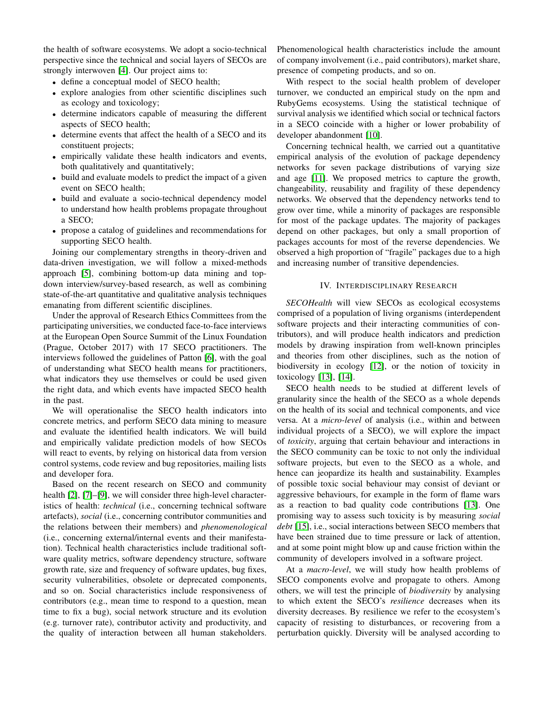the health of software ecosystems. We adopt a socio-technical perspective since the technical and social layers of SECOs are strongly interwoven [\[4\]](#page-2-3). Our project aims to:

- define a conceptual model of SECO health;
- explore analogies from other scientific disciplines such as ecology and toxicology;
- determine indicators capable of measuring the different aspects of SECO health;
- determine events that affect the health of a SECO and its constituent projects;
- empirically validate these health indicators and events, both qualitatively and quantitatively;
- build and evaluate models to predict the impact of a given event on SECO health;
- build and evaluate a socio-technical dependency model to understand how health problems propagate throughout a SECO;
- propose a catalog of guidelines and recommendations for supporting SECO health.

Joining our complementary strengths in theory-driven and data-driven investigation, we will follow a mixed-methods approach [\[5\]](#page-2-4), combining bottom-up data mining and topdown interview/survey-based research, as well as combining state-of-the-art quantitative and qualitative analysis techniques emanating from different scientific disciplines.

Under the approval of Research Ethics Committees from the participating universities, we conducted face-to-face interviews at the European Open Source Summit of the Linux Foundation (Prague, October 2017) with 17 SECO practitioners. The interviews followed the guidelines of Patton [\[6\]](#page-2-5), with the goal of understanding what SECO health means for practitioners, what indicators they use themselves or could be used given the right data, and which events have impacted SECO health in the past.

We will operationalise the SECO health indicators into concrete metrics, and perform SECO data mining to measure and evaluate the identified health indicators. We will build and empirically validate prediction models of how SECOs will react to events, by relying on historical data from version control systems, code review and bug repositories, mailing lists and developer fora.

Based on the recent research on SECO and community health [\[2\]](#page-2-1), [\[7\]](#page-2-6)–[\[9\]](#page-2-7), we will consider three high-level characteristics of health: *technical* (i.e., concerning technical software artefacts), *social* (i.e., concerning contributor communities and the relations between their members) and *phenomenological* (i.e., concerning external/internal events and their manifestation). Technical health characteristics include traditional software quality metrics, software dependency structure, software growth rate, size and frequency of software updates, bug fixes, security vulnerabilities, obsolete or deprecated components, and so on. Social characteristics include responsiveness of contributors (e.g., mean time to respond to a question, mean time to fix a bug), social network structure and its evolution (e.g. turnover rate), contributor activity and productivity, and the quality of interaction between all human stakeholders.

Phenomenological health characteristics include the amount of company involvement (i.e., paid contributors), market share, presence of competing products, and so on.

With respect to the social health problem of developer turnover, we conducted an empirical study on the npm and RubyGems ecosystems. Using the statistical technique of survival analysis we identified which social or technical factors in a SECO coincide with a higher or lower probability of developer abandonment [\[10\]](#page-2-8).

Concerning technical health, we carried out a quantitative empirical analysis of the evolution of package dependency networks for seven package distributions of varying size and age [\[11\]](#page-2-9). We proposed metrics to capture the growth, changeability, reusability and fragility of these dependency networks. We observed that the dependency networks tend to grow over time, while a minority of packages are responsible for most of the package updates. The majority of packages depend on other packages, but only a small proportion of packages accounts for most of the reverse dependencies. We observed a high proportion of "fragile" packages due to a high and increasing number of transitive dependencies.

#### IV. INTERDISCIPLINARY RESEARCH

*SECOHealth* will view SECOs as ecological ecosystems comprised of a population of living organisms (interdependent software projects and their interacting communities of contributors), and will produce health indicators and prediction models by drawing inspiration from well-known principles and theories from other disciplines, such as the notion of biodiversity in ecology [\[12\]](#page-2-10), or the notion of toxicity in toxicology [\[13\]](#page-2-11), [\[14\]](#page-2-12).

SECO health needs to be studied at different levels of granularity since the health of the SECO as a whole depends on the health of its social and technical components, and vice versa. At a *micro-level* of analysis (i.e., within and between individual projects of a SECO), we will explore the impact of *toxicity*, arguing that certain behaviour and interactions in the SECO community can be toxic to not only the individual software projects, but even to the SECO as a whole, and hence can jeopardize its health and sustainability. Examples of possible toxic social behaviour may consist of deviant or aggressive behaviours, for example in the form of flame wars as a reaction to bad quality code contributions [\[13\]](#page-2-11). One promising way to assess such toxicity is by measuring *social debt* [\[15\]](#page-2-13), i.e., social interactions between SECO members that have been strained due to time pressure or lack of attention, and at some point might blow up and cause friction within the community of developers involved in a software project.

At a *macro-level*, we will study how health problems of SECO components evolve and propagate to others. Among others, we will test the principle of *biodiversity* by analysing to which extent the SECO's *resilience* decreases when its diversity decreases. By resilience we refer to the ecosystem's capacity of resisting to disturbances, or recovering from a perturbation quickly. Diversity will be analysed according to